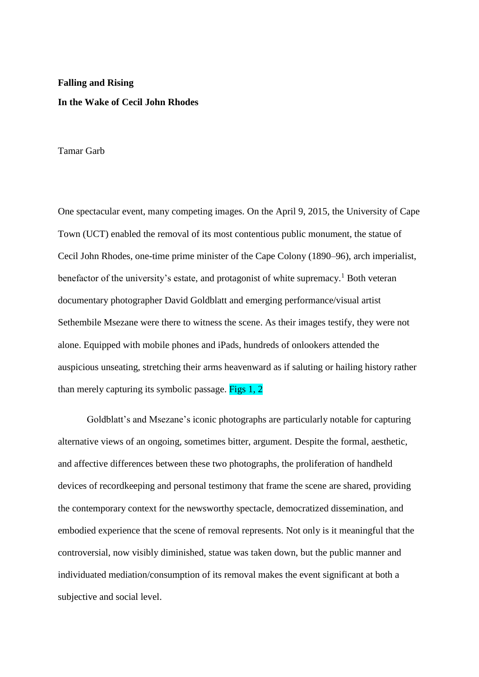## **Falling and Rising In the Wake of Cecil John Rhodes**

Tamar Garb

One spectacular event, many competing images. On the April 9, 2015, the University of Cape Town (UCT) enabled the removal of its most contentious public monument, the statue of Cecil John Rhodes, one-time prime minister of the Cape Colony (1890–96), arch imperialist, benefactor of the university's estate, and protagonist of white supremacy.<sup>1</sup> Both veteran documentary photographer David Goldblatt and emerging performance/visual artist Sethembile Msezane were there to witness the scene. As their images testify, they were not alone. Equipped with mobile phones and iPads, hundreds of onlookers attended the auspicious unseating, stretching their arms heavenward as if saluting or hailing history rather than merely capturing its symbolic passage. Figs 1, 2

Goldblatt's and Msezane's iconic photographs are particularly notable for capturing alternative views of an ongoing, sometimes bitter, argument. Despite the formal, aesthetic, and affective differences between these two photographs, the proliferation of handheld devices of recordkeeping and personal testimony that frame the scene are shared, providing the contemporary context for the newsworthy spectacle, democratized dissemination, and embodied experience that the scene of removal represents. Not only is it meaningful that the controversial, now visibly diminished, statue was taken down, but the public manner and individuated mediation/consumption of its removal makes the event significant at both a subjective and social level.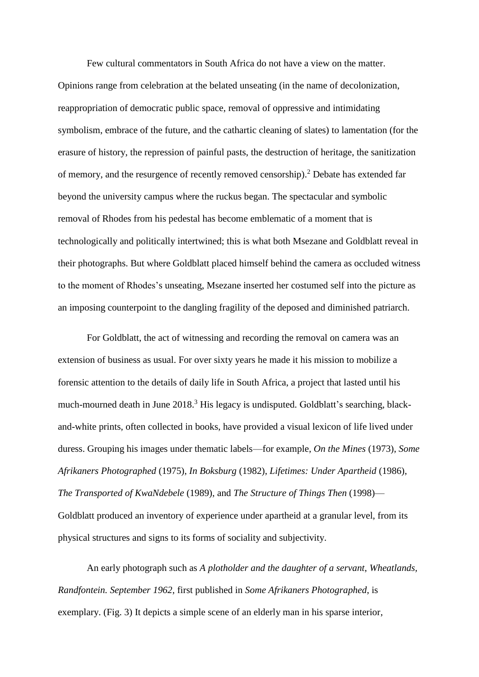Few cultural commentators in South Africa do not have a view on the matter. Opinions range from celebration at the belated unseating (in the name of decolonization, reappropriation of democratic public space, removal of oppressive and intimidating symbolism, embrace of the future, and the cathartic cleaning of slates) to lamentation (for the erasure of history, the repression of painful pasts, the destruction of heritage, the sanitization of memory, and the resurgence of recently removed censorship). <sup>2</sup> Debate has extended far beyond the university campus where the ruckus began. The spectacular and symbolic removal of Rhodes from his pedestal has become emblematic of a moment that is technologically and politically intertwined; this is what both Msezane and Goldblatt reveal in their photographs. But where Goldblatt placed himself behind the camera as occluded witness to the moment of Rhodes's unseating, Msezane inserted her costumed self into the picture as an imposing counterpoint to the dangling fragility of the deposed and diminished patriarch.

For Goldblatt, the act of witnessing and recording the removal on camera was an extension of business as usual. For over sixty years he made it his mission to mobilize a forensic attention to the details of daily life in South Africa, a project that lasted until his much-mourned death in June 2018.<sup>3</sup> His legacy is undisputed. Goldblatt's searching, blackand-white prints, often collected in books, have provided a visual lexicon of life lived under duress. Grouping his images under thematic labels—for example, *On the Mines* (1973), *Some Afrikaners Photographed* (1975), *In Boksburg* (1982), *Lifetimes: Under Apartheid* (1986), *The Transported of KwaNdebele* (1989), and *The Structure of Things Then* (1998)— Goldblatt produced an inventory of experience under apartheid at a granular level, from its physical structures and signs to its forms of sociality and subjectivity.

An early photograph such as *A plotholder and the daughter of a servant*, *Wheatlands, Randfontein. September 1962*, first published in *Some Afrikaners Photographed*, is exemplary. (Fig. 3) It depicts a simple scene of an elderly man in his sparse interior,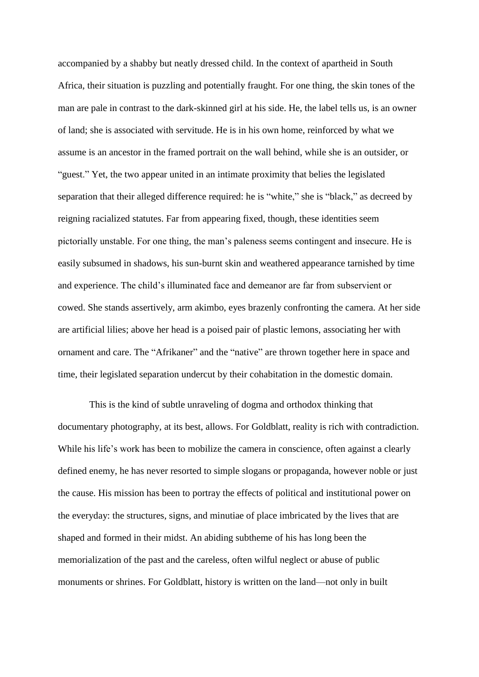accompanied by a shabby but neatly dressed child. In the context of apartheid in South Africa, their situation is puzzling and potentially fraught. For one thing, the skin tones of the man are pale in contrast to the dark-skinned girl at his side. He, the label tells us, is an owner of land; she is associated with servitude. He is in his own home, reinforced by what we assume is an ancestor in the framed portrait on the wall behind, while she is an outsider, or "guest." Yet, the two appear united in an intimate proximity that belies the legislated separation that their alleged difference required: he is "white," she is "black," as decreed by reigning racialized statutes. Far from appearing fixed, though, these identities seem pictorially unstable. For one thing, the man's paleness seems contingent and insecure. He is easily subsumed in shadows, his sun-burnt skin and weathered appearance tarnished by time and experience. The child's illuminated face and demeanor are far from subservient or cowed. She stands assertively, arm akimbo, eyes brazenly confronting the camera. At her side are artificial lilies; above her head is a poised pair of plastic lemons, associating her with ornament and care. The "Afrikaner" and the "native" are thrown together here in space and time, their legislated separation undercut by their cohabitation in the domestic domain.

This is the kind of subtle unraveling of dogma and orthodox thinking that documentary photography, at its best, allows. For Goldblatt, reality is rich with contradiction. While his life's work has been to mobilize the camera in conscience, often against a clearly defined enemy, he has never resorted to simple slogans or propaganda, however noble or just the cause. His mission has been to portray the effects of political and institutional power on the everyday: the structures, signs, and minutiae of place imbricated by the lives that are shaped and formed in their midst. An abiding subtheme of his has long been the memorialization of the past and the careless, often wilful neglect or abuse of public monuments or shrines. For Goldblatt, history is written on the land—not only in built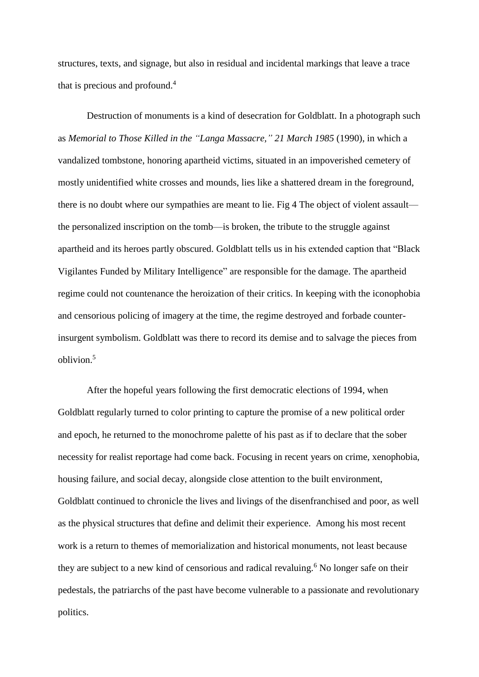structures, texts, and signage, but also in residual and incidental markings that leave a trace that is precious and profound.<sup>4</sup>

Destruction of monuments is a kind of desecration for Goldblatt. In a photograph such as *Memorial to Those Killed in the "Langa Massacre," 21 March 1985* (1990), in which a vandalized tombstone, honoring apartheid victims, situated in an impoverished cemetery of mostly unidentified white crosses and mounds, lies like a shattered dream in the foreground, there is no doubt where our sympathies are meant to lie. Fig 4 The object of violent assault the personalized inscription on the tomb—is broken, the tribute to the struggle against apartheid and its heroes partly obscured. Goldblatt tells us in his extended caption that "Black Vigilantes Funded by Military Intelligence" are responsible for the damage. The apartheid regime could not countenance the heroization of their critics. In keeping with the iconophobia and censorious policing of imagery at the time, the regime destroyed and forbade counterinsurgent symbolism. Goldblatt was there to record its demise and to salvage the pieces from oblivion.<sup>5</sup>

After the hopeful years following the first democratic elections of 1994, when Goldblatt regularly turned to color printing to capture the promise of a new political order and epoch, he returned to the monochrome palette of his past as if to declare that the sober necessity for realist reportage had come back. Focusing in recent years on crime, xenophobia, housing failure, and social decay, alongside close attention to the built environment, Goldblatt continued to chronicle the lives and livings of the disenfranchised and poor, as well as the physical structures that define and delimit their experience. Among his most recent work is a return to themes of memorialization and historical monuments, not least because they are subject to a new kind of censorious and radical revaluing.<sup>6</sup> No longer safe on their pedestals, the patriarchs of the past have become vulnerable to a passionate and revolutionary politics.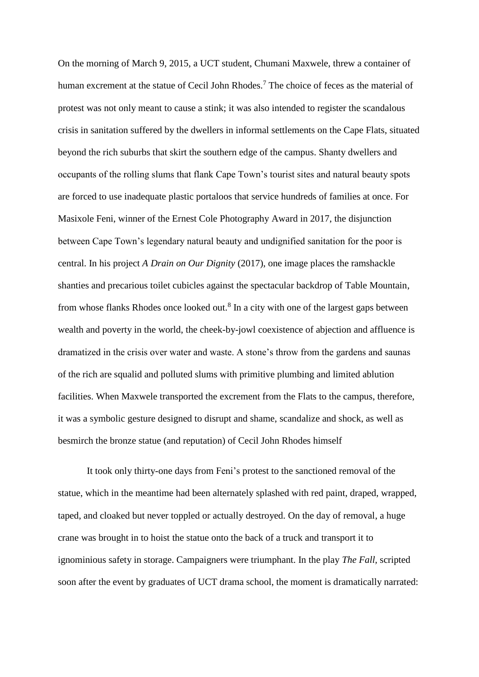On the morning of March 9, 2015, a UCT student, Chumani Maxwele, threw a container of human excrement at the statue of Cecil John Rhodes.<sup>7</sup> The choice of feces as the material of protest was not only meant to cause a stink; it was also intended to register the scandalous crisis in sanitation suffered by the dwellers in informal settlements on the Cape Flats, situated beyond the rich suburbs that skirt the southern edge of the campus. Shanty dwellers and occupants of the rolling slums that flank Cape Town's tourist sites and natural beauty spots are forced to use inadequate plastic portaloos that service hundreds of families at once. For Masixole Feni, winner of the Ernest Cole Photography Award in 2017, the disjunction between Cape Town's legendary natural beauty and undignified sanitation for the poor is central. In his project *A Drain on Our Dignity* (2017), one image places the ramshackle shanties and precarious toilet cubicles against the spectacular backdrop of Table Mountain, from whose flanks Rhodes once looked out. $8$  In a city with one of the largest gaps between wealth and poverty in the world, the cheek-by-jowl coexistence of abjection and affluence is dramatized in the crisis over water and waste. A stone's throw from the gardens and saunas of the rich are squalid and polluted slums with primitive plumbing and limited ablution facilities. When Maxwele transported the excrement from the Flats to the campus, therefore, it was a symbolic gesture designed to disrupt and shame, scandalize and shock, as well as besmirch the bronze statue (and reputation) of Cecil John Rhodes himself

It took only thirty-one days from Feni's protest to the sanctioned removal of the statue, which in the meantime had been alternately splashed with red paint, draped, wrapped, taped, and cloaked but never toppled or actually destroyed. On the day of removal, a huge crane was brought in to hoist the statue onto the back of a truck and transport it to ignominious safety in storage. Campaigners were triumphant. In the play *The Fall,* scripted soon after the event by graduates of UCT drama school, the moment is dramatically narrated: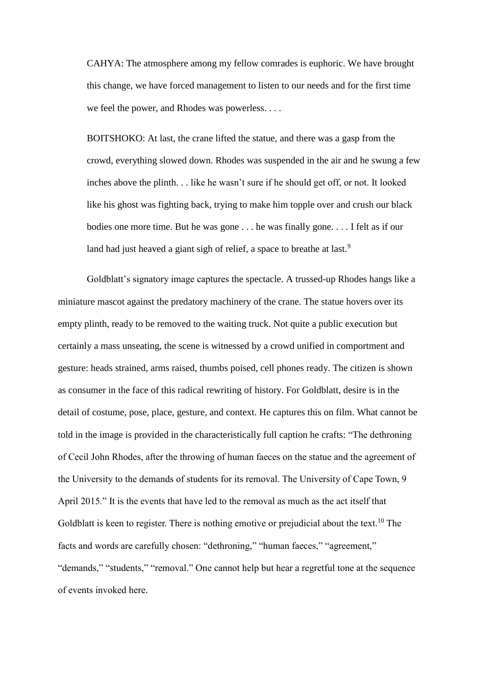CAHYA: The atmosphere among my fellow comrades is euphoric. We have brought this change, we have forced management to listen to our needs and for the first time we feel the power, and Rhodes was powerless. . . .

BOITSHOKO: At last, the crane lifted the statue, and there was a gasp from the crowd, everything slowed down. Rhodes was suspended in the air and he swung a few inches above the plinth. . . like he wasn't sure if he should get off, or not. It looked like his ghost was fighting back, trying to make him topple over and crush our black bodies one more time. But he was gone . . . he was finally gone. . . . I felt as if our land had just heaved a giant sigh of relief, a space to breathe at last.<sup>9</sup>

Goldblatt's signatory image captures the spectacle. A trussed-up Rhodes hangs like a miniature mascot against the predatory machinery of the crane. The statue hovers over its empty plinth, ready to be removed to the waiting truck. Not quite a public execution but certainly a mass unseating, the scene is witnessed by a crowd unified in comportment and gesture: heads strained, arms raised, thumbs poised, cell phones ready. The citizen is shown as consumer in the face of this radical rewriting of history. For Goldblatt, desire is in the detail of costume, pose, place, gesture, and context. He captures this on film. What cannot be told in the image is provided in the characteristically full caption he crafts: "The dethroning of Cecil John Rhodes, after the throwing of human faeces on the statue and the agreement of the University to the demands of students for its removal. The University of Cape Town, 9 April 2015*.*" It is the events that have led to the removal as much as the act itself that Goldblatt is keen to register. There is nothing emotive or prejudicial about the text.<sup>10</sup> The facts and words are carefully chosen: "dethroning," "human faeces," "agreement," "demands," "students," "removal." One cannot help but hear a regretful tone at the sequence of events invoked here.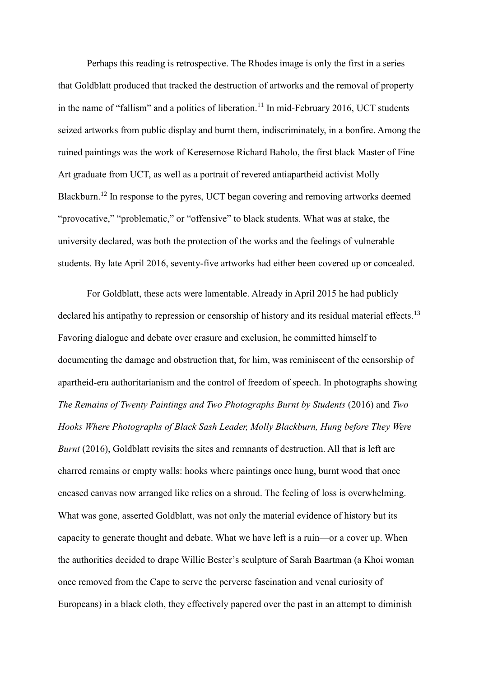Perhaps this reading is retrospective. The Rhodes image is only the first in a series that Goldblatt produced that tracked the destruction of artworks and the removal of property in the name of "fallism" and a politics of liberation.<sup>11</sup> In mid-February 2016, UCT students seized artworks from public display and burnt them, indiscriminately, in a bonfire. Among the ruined paintings was the work of Keresemose Richard Baholo, the first black Master of Fine Art graduate from UCT, as well as a portrait of revered antiapartheid activist Molly Blackburn.<sup>12</sup> In response to the pyres, UCT began covering and removing artworks deemed "provocative," "problematic," or "offensive" to black students. What was at stake, the university declared, was both the protection of the works and the feelings of vulnerable students. By late April 2016, seventy-five artworks had either been covered up or concealed.

For Goldblatt, these acts were lamentable. Already in April 2015 he had publicly declared his antipathy to repression or censorship of history and its residual material effects.<sup>13</sup> Favoring dialogue and debate over erasure and exclusion, he committed himself to documenting the damage and obstruction that, for him, was reminiscent of the censorship of apartheid-era authoritarianism and the control of freedom of speech. In photographs showing *The Remains of Twenty Paintings and Two Photographs Burnt by Students* (2016) and *Two Hooks Where Photographs of Black Sash Leader, Molly Blackburn, Hung before They Were Burnt* (2016), Goldblatt revisits the sites and remnants of destruction. All that is left are charred remains or empty walls: hooks where paintings once hung, burnt wood that once encased canvas now arranged like relics on a shroud. The feeling of loss is overwhelming. What was gone, asserted Goldblatt, was not only the material evidence of history but its capacity to generate thought and debate. What we have left is a ruin—or a cover up. When the authorities decided to drape Willie Bester's sculpture of Sarah Baartman (a Khoi woman once removed from the Cape to serve the perverse fascination and venal curiosity of Europeans) in a black cloth, they effectively papered over the past in an attempt to diminish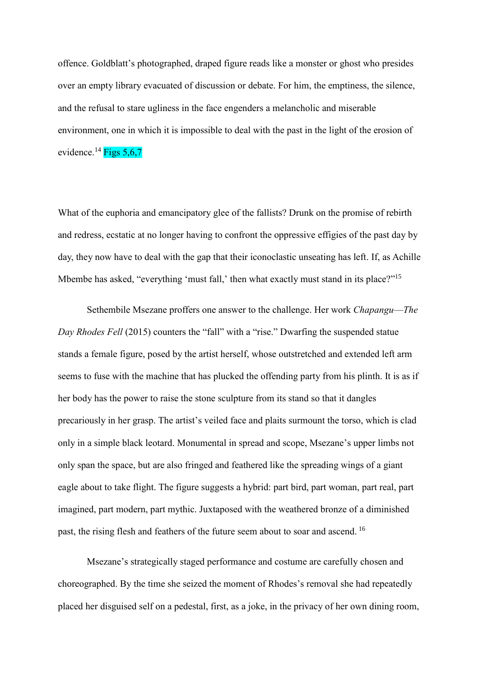offence. Goldblatt's photographed, draped figure reads like a monster or ghost who presides over an empty library evacuated of discussion or debate. For him, the emptiness, the silence, and the refusal to stare ugliness in the face engenders a melancholic and miserable environment, one in which it is impossible to deal with the past in the light of the erosion of evidence.<sup>14</sup> Figs 5,6,7

What of the euphoria and emancipatory glee of the fallists? Drunk on the promise of rebirth and redress, ecstatic at no longer having to confront the oppressive effigies of the past day by day, they now have to deal with the gap that their iconoclastic unseating has left. If, as Achille Mbembe has asked, "everything 'must fall,' then what exactly must stand in its place?"<sup>15</sup>

Sethembile Msezane proffers one answer to the challenge. Her work *Chapangu*—*The Day Rhodes Fell* (2015) counters the "fall" with a "rise." Dwarfing the suspended statue stands a female figure, posed by the artist herself, whose outstretched and extended left arm seems to fuse with the machine that has plucked the offending party from his plinth. It is as if her body has the power to raise the stone sculpture from its stand so that it dangles precariously in her grasp. The artist's veiled face and plaits surmount the torso, which is clad only in a simple black leotard. Monumental in spread and scope, Msezane's upper limbs not only span the space, but are also fringed and feathered like the spreading wings of a giant eagle about to take flight. The figure suggests a hybrid: part bird, part woman, part real, part imagined, part modern, part mythic. Juxtaposed with the weathered bronze of a diminished past, the rising flesh and feathers of the future seem about to soar and ascend. <sup>16</sup>

Msezane's strategically staged performance and costume are carefully chosen and choreographed. By the time she seized the moment of Rhodes's removal she had repeatedly placed her disguised self on a pedestal, first, as a joke, in the privacy of her own dining room,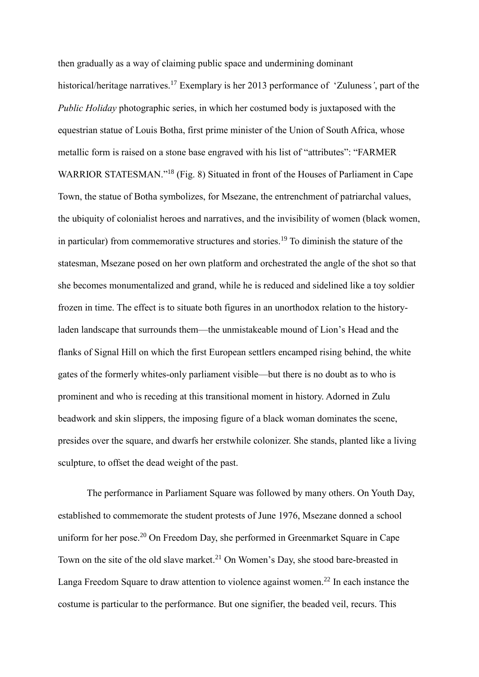then gradually as a way of claiming public space and undermining dominant historical/heritage narratives.<sup>17</sup> Exemplary is her 2013 performance of 'Zuluness*'*, part of the *Public Holiday* photographic series, in which her costumed body is juxtaposed with the equestrian statue of Louis Botha, first prime minister of the Union of South Africa, whose metallic form is raised on a stone base engraved with his list of "attributes": "FARMER WARRIOR STATESMAN."<sup>18</sup> (Fig. 8) Situated in front of the Houses of Parliament in Cape Town, the statue of Botha symbolizes, for Msezane, the entrenchment of patriarchal values, the ubiquity of colonialist heroes and narratives, and the invisibility of women (black women, in particular) from commemorative structures and stories.<sup>19</sup> To diminish the stature of the statesman, Msezane posed on her own platform and orchestrated the angle of the shot so that she becomes monumentalized and grand, while he is reduced and sidelined like a toy soldier frozen in time. The effect is to situate both figures in an unorthodox relation to the historyladen landscape that surrounds them—the unmistakeable mound of Lion's Head and the flanks of Signal Hill on which the first European settlers encamped rising behind, the white gates of the formerly whites-only parliament visible—but there is no doubt as to who is prominent and who is receding at this transitional moment in history. Adorned in Zulu beadwork and skin slippers, the imposing figure of a black woman dominates the scene, presides over the square, and dwarfs her erstwhile colonizer. She stands, planted like a living sculpture, to offset the dead weight of the past.

The performance in Parliament Square was followed by many others. On Youth Day, established to commemorate the student protests of June 1976, Msezane donned a school uniform for her pose.<sup>20</sup> On Freedom Day, she performed in Greenmarket Square in Cape Town on the site of the old slave market. <sup>21</sup> On Women's Day, she stood bare-breasted in Langa Freedom Square to draw attention to violence against women.<sup>22</sup> In each instance the costume is particular to the performance. But one signifier, the beaded veil, recurs. This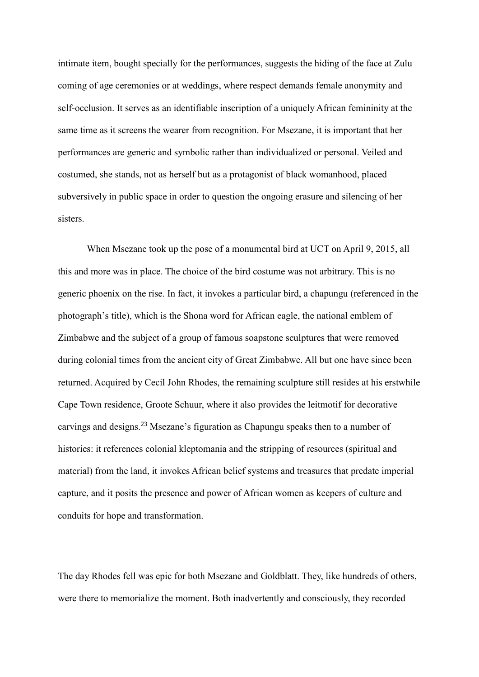intimate item, bought specially for the performances, suggests the hiding of the face at Zulu coming of age ceremonies or at weddings, where respect demands female anonymity and self-occlusion. It serves as an identifiable inscription of a uniquely African femininity at the same time as it screens the wearer from recognition. For Msezane, it is important that her performances are generic and symbolic rather than individualized or personal. Veiled and costumed, she stands, not as herself but as a protagonist of black womanhood, placed subversively in public space in order to question the ongoing erasure and silencing of her sisters.

When Msezane took up the pose of a monumental bird at UCT on April 9, 2015, all this and more was in place. The choice of the bird costume was not arbitrary. This is no generic phoenix on the rise. In fact, it invokes a particular bird, a chapungu (referenced in the photograph's title), which is the Shona word for African eagle, the national emblem of Zimbabwe and the subject of a group of famous soapstone sculptures that were removed during colonial times from the ancient city of Great Zimbabwe. All but one have since been returned. Acquired by Cecil John Rhodes, the remaining sculpture still resides at his erstwhile Cape Town residence, Groote Schuur, where it also provides the leitmotif for decorative carvings and designs.<sup>23</sup> Msezane's figuration as Chapungu speaks then to a number of histories: it references colonial kleptomania and the stripping of resources (spiritual and material) from the land, it invokes African belief systems and treasures that predate imperial capture, and it posits the presence and power of African women as keepers of culture and conduits for hope and transformation.

The day Rhodes fell was epic for both Msezane and Goldblatt. They, like hundreds of others, were there to memorialize the moment. Both inadvertently and consciously, they recorded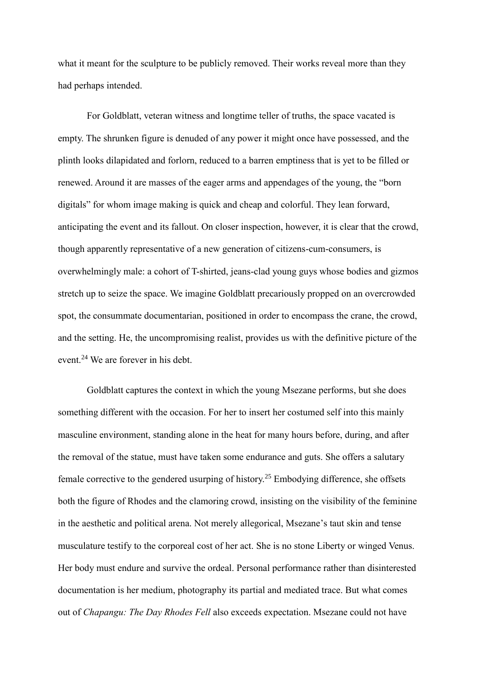what it meant for the sculpture to be publicly removed. Their works reveal more than they had perhaps intended.

For Goldblatt, veteran witness and longtime teller of truths, the space vacated is empty. The shrunken figure is denuded of any power it might once have possessed, and the plinth looks dilapidated and forlorn, reduced to a barren emptiness that is yet to be filled or renewed. Around it are masses of the eager arms and appendages of the young, the "born digitals" for whom image making is quick and cheap and colorful. They lean forward, anticipating the event and its fallout. On closer inspection, however, it is clear that the crowd, though apparently representative of a new generation of citizens-cum-consumers, is overwhelmingly male: a cohort of T-shirted, jeans-clad young guys whose bodies and gizmos stretch up to seize the space. We imagine Goldblatt precariously propped on an overcrowded spot, the consummate documentarian, positioned in order to encompass the crane, the crowd, and the setting. He, the uncompromising realist, provides us with the definitive picture of the event.<sup>24</sup> We are forever in his debt.

Goldblatt captures the context in which the young Msezane performs, but she does something different with the occasion. For her to insert her costumed self into this mainly masculine environment, standing alone in the heat for many hours before, during, and after the removal of the statue, must have taken some endurance and guts. She offers a salutary female corrective to the gendered usurping of history.<sup>25</sup> Embodying difference, she offsets both the figure of Rhodes and the clamoring crowd, insisting on the visibility of the feminine in the aesthetic and political arena. Not merely allegorical, Msezane's taut skin and tense musculature testify to the corporeal cost of her act. She is no stone Liberty or winged Venus. Her body must endure and survive the ordeal. Personal performance rather than disinterested documentation is her medium, photography its partial and mediated trace. But what comes out of *Chapangu: The Day Rhodes Fell* also exceeds expectation. Msezane could not have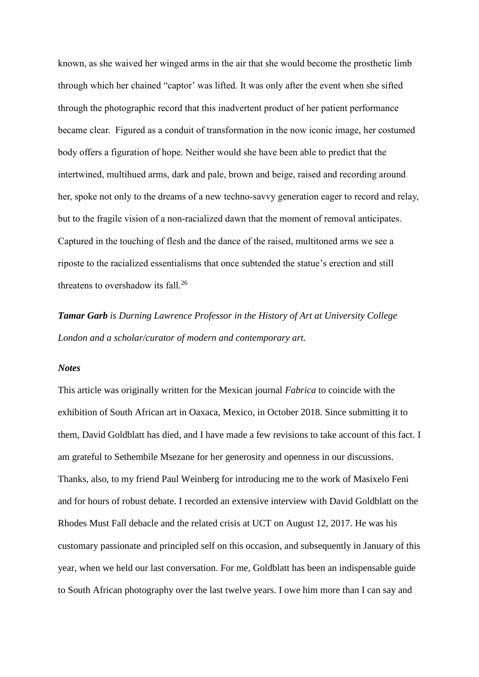known, as she waived her winged arms in the air that she would become the prosthetic limb through which her chained "captor' was lifted. It was only after the event when she sifted through the photographic record that this inadvertent product of her patient performance became clear. Figured as a conduit of transformation in the now iconic image, her costumed body offers a figuration of hope. Neither would she have been able to predict that the intertwined, multihued arms, dark and pale, brown and beige, raised and recording around her, spoke not only to the dreams of a new techno-savvy generation eager to record and relay, but to the fragile vision of a non-racialized dawn that the moment of removal anticipates. Captured in the touching of flesh and the dance of the raised, multitoned arms we see a riposte to the racialized essentialisms that once subtended the statue's erection and still threatens to overshadow its fall.<sup>26</sup>

*Tamar Garb is Durning Lawrence Professor in the History of Art at University College London and a scholar/curator of modern and contemporary art.*

## *Notes*

This article was originally written for the Mexican journal *Fabrica* to coincide with the exhibition of South African art in Oaxaca, Mexico, in October 2018. Since submitting it to them, David Goldblatt has died, and I have made a few revisions to take account of this fact. I am grateful to Sethembile Msezane for her generosity and openness in our discussions. Thanks, also, to my friend Paul Weinberg for introducing me to the work of Masixelo Feni and for hours of robust debate. I recorded an extensive interview with David Goldblatt on the Rhodes Must Fall debacle and the related crisis at UCT on August 12, 2017. He was his customary passionate and principled self on this occasion, and subsequently in January of this year, when we held our last conversation. For me, Goldblatt has been an indispensable guide to South African photography over the last twelve years. I owe him more than I can say and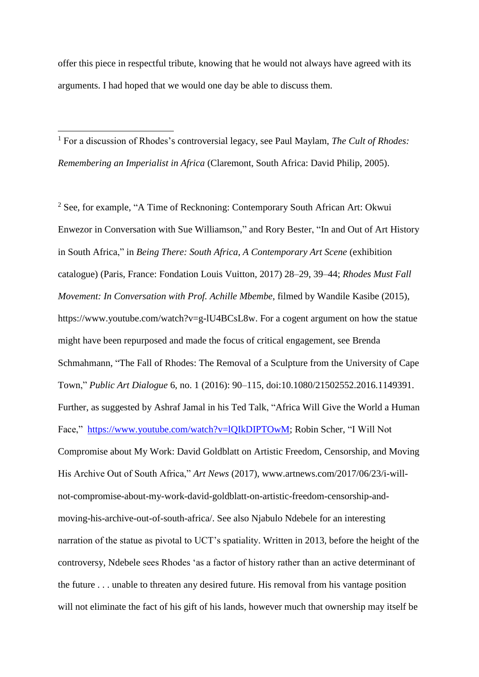offer this piece in respectful tribute, knowing that he would not always have agreed with its arguments. I had hoped that we would one day be able to discuss them.

<sup>1</sup> For a discussion of Rhodes's controversial legacy, see Paul Maylam, *The Cult of Rhodes: Remembering an Imperialist in Africa* (Claremont, South Africa: David Philip, 2005).

1

<sup>2</sup> See, for example, "A Time of Recknoning: Contemporary South African Art: Okwui Enwezor in Conversation with Sue Williamson," and Rory Bester, "In and Out of Art History in South Africa," in *Being There: South Africa, A Contemporary Art Scene* (exhibition catalogue) (Paris, France: Fondation Louis Vuitton*,* 2017) 28–29, 39–44; *Rhodes Must Fall Movement: In Conversation with Prof. Achille Mbembe*, filmed by Wandile Kasibe (2015), https://www.youtube.com/watch?v=g-lU4BCsL8w. For a cogent argument on how the statue might have been repurposed and made the focus of critical engagement, see Brenda Schmahmann, "The Fall of Rhodes: The Removal of a Sculpture from the University of Cape Town," *Public Art Dialogue* 6, no. 1 (2016): 90–115, doi:10.1080/21502552.2016.1149391. Further, as suggested by Ashraf Jamal in his Ted Talk, "Africa Will Give the World a Human Face," [https://www.youtube.com/watch?v=lQIkDIPTOwM;](https://www.youtube.com/watch?v=lQIkDIPTOwM) Robin Scher, "I Will Not Compromise about My Work: David Goldblatt on Artistic Freedom, Censorship, and Moving His Archive Out of South Africa," *Art News* (2017), www.artnews.com/2017/06/23/i-willnot-compromise-about-my-work-david-goldblatt-on-artistic-freedom-censorship-andmoving-his-archive-out-of-south-africa/. See also Njabulo Ndebele for an interesting narration of the statue as pivotal to UCT's spatiality. Written in 2013, before the height of the controversy, Ndebele sees Rhodes 'as a factor of history rather than an active determinant of the future . . . unable to threaten any desired future. His removal from his vantage position will not eliminate the fact of his gift of his lands, however much that ownership may itself be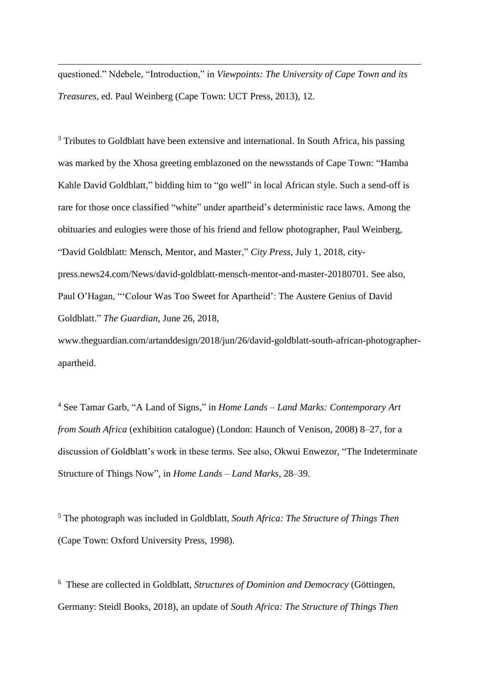questioned." Ndebele, "Introduction," in *Viewpoints: The University of Cape Town and its Treasures*, ed. Paul Weinberg (Cape Town: UCT Press, 2013), 12.

**.** 

<sup>3</sup> Tributes to Goldblatt have been extensive and international. In South Africa, his passing was marked by the Xhosa greeting emblazoned on the newsstands of Cape Town: "Hamba Kahle David Goldblatt," bidding him to "go well" in local African style. Such a send-off is rare for those once classified "white" under apartheid's deterministic race laws. Among the obituaries and eulogies were those of his friend and fellow photographer, Paul Weinberg, "David Goldblatt: Mensch, Mentor, and Master," *City Press*, July 1, 2018, citypress.news24.com/News/david-goldblatt-mensch-mentor-and-master-20180701. See also, Paul O'Hagan, "'Colour Was Too Sweet for Apartheid': The Austere Genius of David Goldblatt." *The Guardian*, June 26, 2018,

www.theguardian.com/artanddesign/2018/jun/26/david-goldblatt-south-african-photographerapartheid.

<sup>4</sup> See Tamar Garb, "A Land of Signs," in *Home Lands – Land Marks: Contemporary Art from South Africa* (exhibition catalogue) (London: Haunch of Venison, 2008) 8–27, for a discussion of Goldblatt's work in these terms. See also, Okwui Enwezor, "The Indeterminate Structure of Things Now", in *Home Lands – Land Marks*, 28–39.

<sup>5</sup> The photograph was included in Goldblatt, *South Africa: The Structure of Things Then* (Cape Town: Oxford University Press, 1998).

6 These are collected in Goldblatt, *Structures of Dominion and Democracy* (Göttingen, Germany: Steidl Books, 2018), an update of *South Africa: The Structure of Things Then*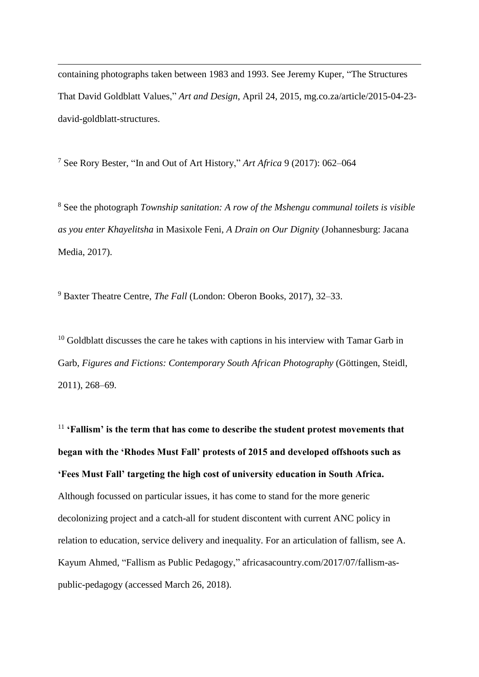containing photographs taken between 1983 and 1993. See Jeremy Kuper, "The Structures That David Goldblatt Values," *Art and Design*, April 24, 2015, mg.co.za/article/2015-04-23 david-goldblatt-structures.

<sup>7</sup> See Rory Bester, "In and Out of Art History," *Art Africa* 9 (2017): 062–064

**.** 

<sup>8</sup> See the photograph *Township sanitation: A row of the Mshengu communal toilets is visible as you enter Khayelitsha* in Masixole Feni, *A Drain on Our Dignity* (Johannesburg: Jacana Media, 2017).

<sup>9</sup> Baxter Theatre Centre, *The Fall* (London: Oberon Books, 2017), 32–33.

 $10$  Goldblatt discusses the care he takes with captions in his interview with Tamar Garb in Garb, *Figures and Fictions: Contemporary South African Photography* (Göttingen, Steidl, 2011), 268–69.

<sup>11</sup> **'Fallism' is the term that has come to describe the student protest movements that began with the 'Rhodes Must Fall' protests of 2015 and developed offshoots such as 'Fees Must Fall' targeting the high cost of university education in South Africa.** Although focussed on particular issues, it has come to stand for the more generic decolonizing project and a catch-all for student discontent with current ANC policy in relation to education, service delivery and inequality. For an articulation of fallism, see A. Kayum Ahmed, "Fallism as Public Pedagogy," africasacountry.com/2017/07/fallism-aspublic-pedagogy (accessed March 26, 2018).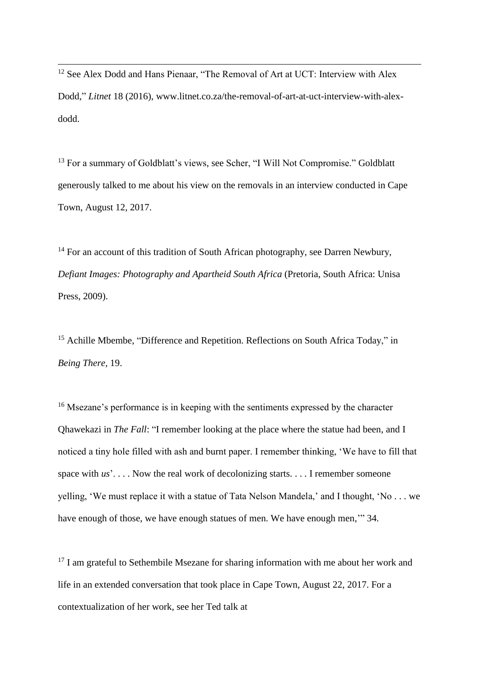<sup>12</sup> See Alex Dodd and Hans Pienaar, "The Removal of Art at UCT: Interview with Alex Dodd," *Litnet* 18 (2016), www.litnet.co.za/the-removal-of-art-at-uct-interview-with-alexdodd.

**.** 

<sup>13</sup> For a summary of Goldblatt's views, see Scher, "I Will Not Compromise." Goldblatt generously talked to me about his view on the removals in an interview conducted in Cape Town, August 12, 2017.

<sup>14</sup> For an account of this tradition of South African photography, see Darren Newbury, *Defiant Images: Photography and Apartheid South Africa* (Pretoria, South Africa: Unisa Press, 2009).

<sup>15</sup> Achille Mbembe, "Difference and Repetition. Reflections on South Africa Today," in *Being There,* 19.

<sup>16</sup> Msezane's performance is in keeping with the sentiments expressed by the character Qhawekazi in *The Fall*: "I remember looking at the place where the statue had been, and I noticed a tiny hole filled with ash and burnt paper. I remember thinking, 'We have to fill that space with *us*'. . . . Now the real work of decolonizing starts. . . . I remember someone yelling, 'We must replace it with a statue of Tata Nelson Mandela,' and I thought, 'No . . . we have enough of those, we have enough statues of men. We have enough men,'" 34.

<sup>17</sup> I am grateful to Sethembile Msezane for sharing information with me about her work and life in an extended conversation that took place in Cape Town, August 22, 2017. For a contextualization of her work, see her Ted talk at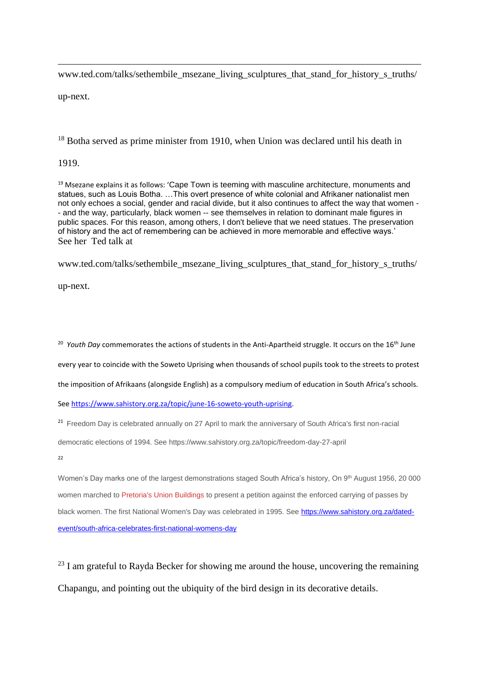www.ted.com/talks/sethembile\_msezane\_living\_sculptures\_that\_stand\_for\_history\_s\_truths/

up-next.

**.** 

<sup>18</sup> Botha served as prime minister from 1910, when Union was declared until his death in

1919.

<sup>19</sup> Msezane explains it as follows: 'Cape Town is teeming with masculine architecture, monuments and statues, such as Louis Botha. …This overt presence of white colonial and Afrikaner nationalist men not only echoes a social, gender and racial divide, but it also continues to affect the way that women - - and the way, particularly, black women -- see themselves in relation to dominant male figures in public spaces. For this reason, among others, I don't believe that we need statues. The preservation of history and the act of remembering can be achieved in more memorable and effective ways.' See her Ted talk at

www.ted.com/talks/sethembile\_msezane\_living\_sculptures\_that\_stand\_for\_history\_s\_truths/

up-next.

<sup>20</sup> *Youth Day* commemorates the actions of students in the Anti-Apartheid struggle. It occurs on the 16<sup>th</sup> June

every year to coincide with the Soweto Uprising when thousands of school pupils took to the streets to protest

the imposition of Afrikaans (alongside English) as a compulsory medium of education in South Africa's schools.

See [https://www.sahistory.org.za/topic/june-16-soweto-youth-uprising.](https://www.sahistory.org.za/topic/june-16-soweto-youth-uprising)

<sup>21</sup> Freedom Day is celebrated annually on 27 April to mark the anniversary of South Africa's first non-racial

democratic elections of 1994. See https://www.sahistory.org.za/topic/freedom-day-27-april

 $22$ 

Women's Day marks one of the largest demonstrations staged South Africa's history, On 9th August 1956, 20 000 women marched to [Pretoria's Union Buildings](https://www.sahistory.org.za/places/union-buildings) to present a petition against the enforced carrying of passes by black women. The first National Women's Day was celebrated in 1995. See [https://www.sahistory.org.za/dated](https://www.sahistory.org.za/dated-event/south-africa-celebrates-first-national-womens-day)[event/south-africa-celebrates-first-national-womens-day](https://www.sahistory.org.za/dated-event/south-africa-celebrates-first-national-womens-day)

 $^{23}$  I am grateful to Rayda Becker for showing me around the house, uncovering the remaining Chapangu, and pointing out the ubiquity of the bird design in its decorative details.